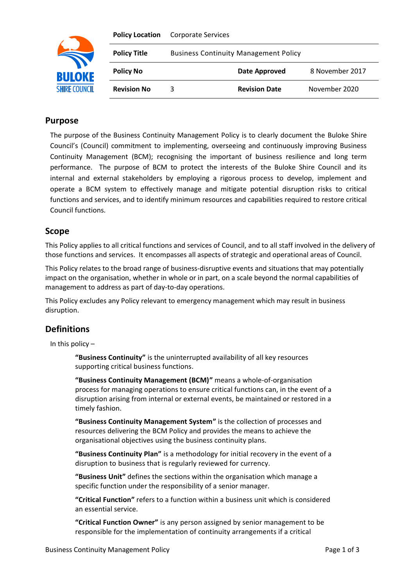

| <b>Policy Location</b> | <b>Corporate Services</b>                    |                      |                 |
|------------------------|----------------------------------------------|----------------------|-----------------|
| <b>Policy Title</b>    | <b>Business Continuity Management Policy</b> |                      |                 |
| <b>Policy No</b>       |                                              | Date Approved        | 8 November 2017 |
| <b>Revision No</b>     | 3                                            | <b>Revision Date</b> | November 2020   |

## **Purpose**

The purpose of the Business Continuity Management Policy is to clearly document the Buloke Shire Council's (Council) commitment to implementing, overseeing and continuously improving Business Continuity Management (BCM); recognising the important of business resilience and long term performance. The purpose of BCM to protect the interests of the Buloke Shire Council and its internal and external stakeholders by employing a rigorous process to develop, implement and operate a BCM system to effectively manage and mitigate potential disruption risks to critical functions and services, and to identify minimum resources and capabilities required to restore critical Council functions.

### **Scope**

This Policy applies to all critical functions and services of Council, and to all staff involved in the delivery of those functions and services. It encompasses all aspects of strategic and operational areas of Council.

This Policy relates to the broad range of business-disruptive events and situations that may potentially impact on the organisation, whether in whole or in part, on a scale beyond the normal capabilities of management to address as part of day-to-day operations.

This Policy excludes any Policy relevant to emergency management which may result in business disruption.

# **Definitions**

In this policy –

**"Business Continuity"** is the uninterrupted availability of all key resources supporting critical business functions.

**"Business Continuity Management (BCM)"** means a whole-of-organisation process for managing operations to ensure critical functions can, in the event of a disruption arising from internal or external events, be maintained or restored in a timely fashion.

**"Business Continuity Management System"** is the collection of processes and resources delivering the BCM Policy and provides the means to achieve the organisational objectives using the business continuity plans.

**"Business Continuity Plan"** is a methodology for initial recovery in the event of a disruption to business that is regularly reviewed for currency.

**"Business Unit"** defines the sections within the organisation which manage a specific function under the responsibility of a senior manager.

**"Critical Function"** refers to a function within a business unit which is considered an essential service.

**"Critical Function Owner"** is any person assigned by senior management to be responsible for the implementation of continuity arrangements if a critical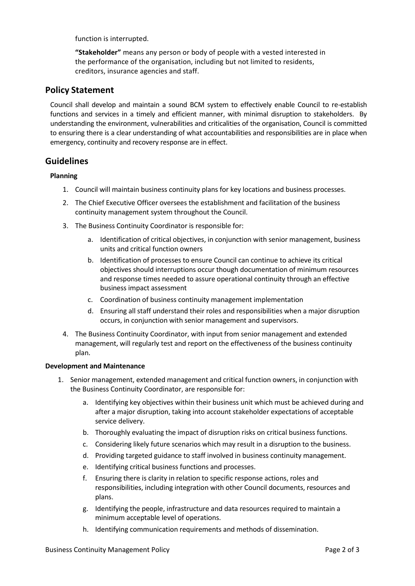function is interrupted.

**"Stakeholder"** means any person or body of people with a vested interested in the performance of the organisation, including but not limited to residents, creditors, insurance agencies and staff.

### **Policy Statement**

Council shall develop and maintain a sound BCM system to effectively enable Council to re-establish functions and services in a timely and efficient manner, with minimal disruption to stakeholders. By understanding the environment, vulnerabilities and criticalities of the organisation, Council is committed to ensuring there is a clear understanding of what accountabilities and responsibilities are in place when emergency, continuity and recovery response are in effect.

### **Guidelines**

#### **Planning**

- 1. Council will maintain business continuity plans for key locations and business processes.
- 2. The Chief Executive Officer oversees the establishment and facilitation of the business continuity management system throughout the Council.
- 3. The Business Continuity Coordinator is responsible for:
	- a. Identification of critical objectives, in conjunction with senior management, business units and critical function owners
	- b. Identification of processes to ensure Council can continue to achieve its critical objectives should interruptions occur though documentation of minimum resources and response times needed to assure operational continuity through an effective business impact assessment
	- c. Coordination of business continuity management implementation
	- d. Ensuring all staff understand their roles and responsibilities when a major disruption occurs, in conjunction with senior management and supervisors.
- 4. The Business Continuity Coordinator, with input from senior management and extended management, will regularly test and report on the effectiveness of the business continuity plan.

#### **Development and Maintenance**

- 1. Senior management, extended management and critical function owners, in conjunction with the Business Continuity Coordinator, are responsible for:
	- a. Identifying key objectives within their business unit which must be achieved during and after a major disruption, taking into account stakeholder expectations of acceptable service delivery.
	- b. Thoroughly evaluating the impact of disruption risks on critical business functions.
	- c. Considering likely future scenarios which may result in a disruption to the business.
	- d. Providing targeted guidance to staff involved in business continuity management.
	- e. Identifying critical business functions and processes.
	- f. Ensuring there is clarity in relation to specific response actions, roles and responsibilities, including integration with other Council documents, resources and plans.
	- g. Identifying the people, infrastructure and data resources required to maintain a minimum acceptable level of operations.
	- h. Identifying communication requirements and methods of dissemination.